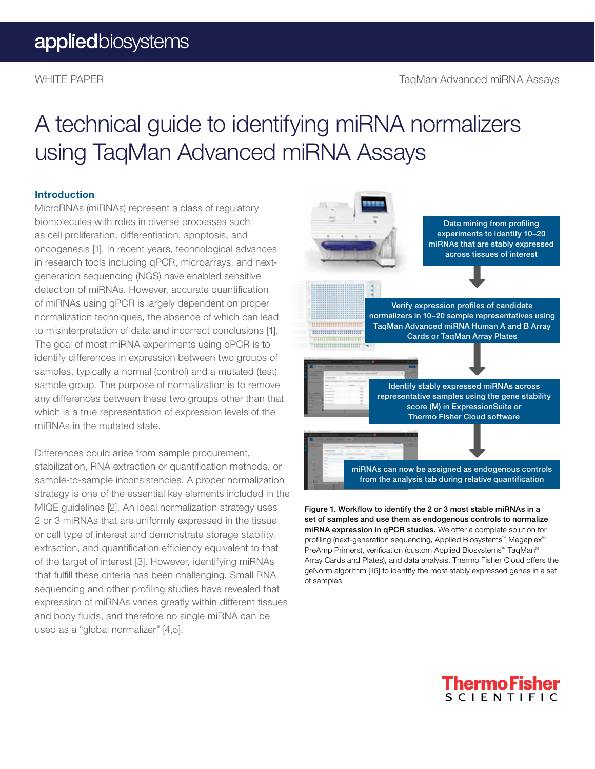## A technical guide to identifying miRNA normalizers using TaqMan Advanced miRNA Assays

#### Introduction

MicroRNAs (miRNAs) represent a class of regulatory biomolecules with roles in diverse processes such as cell proliferation, differentiation, apoptosis, and oncogenesis [1]. In recent years, technological advances in research tools including qPCR, microarrays, and nextgeneration sequencing (NGS) have enabled sensitive detection of miRNAs. However, accurate quantification of miRNAs using qPCR is largely dependent on proper normalization techniques, the absence of which can lead to misinterpretation of data and incorrect conclusions [1]. The goal of most miRNA experiments using qPCR is to identify differences in expression between two groups of samples, typically a normal (control) and a mutated (test) sample group. The purpose of normalization is to remove any differences between these two groups other than that which is a true representation of expression levels of the miRNAs in the mutated state.

Differences could arise from sample procurement, stabilization, RNA extraction or quantification methods, or sample-to-sample inconsistencies. A proper normalization strategy is one of the essential key elements included in the MIQE guidelines [2]. An ideal normalization strategy uses 2 or 3 miRNAs that are uniformly expressed in the tissue or cell type of interest and demonstrate storage stability, extraction, and quantification efficiency equivalent to that of the target of interest [3]. However, identifying miRNAs that fulfill these criteria has been challenging. Small RNA sequencing and other profiling studies have revealed that expression of miRNAs varies greatly within different tissues and body fluids, and therefore no single miRNA can be used as a "global normalizer" [4,5].



Figure 1. Workflow to identify the 2 or 3 most stable miRNAs in a set of samples and use them as endogenous controls to normalize miRNA expression in qPCR studies. We offer a complete solution for profiling (next-generation sequencing, Applied Biosystems™ Megaplex™ PreAmp Primers), verification (custom Applied Biosystems™ TaqMan® Array Cards and Plates), and data analysis. Thermo Fisher Cloud offers the geNorm algorithm [16] to identify the most stably expressed genes in a set of samples.

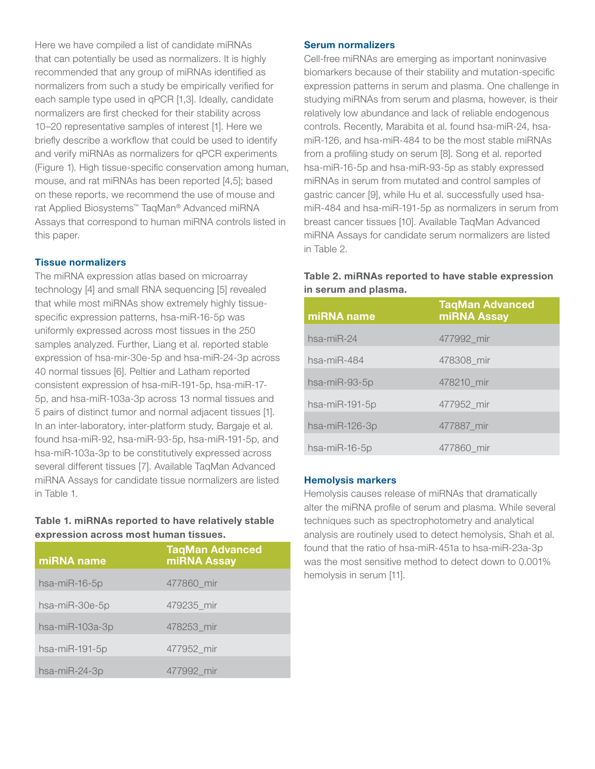Here we have compiled a list of candidate miRNAs that can potentially be used as normalizers. It is highly recommended that any group of miRNAs identified as normalizers from such a study be empirically verified for each sample type used in qPCR [1,3]. Ideally, candidate normalizers are first checked for their stability across 10–20 representative samples of interest [1]. Here we briefly describe a workflow that could be used to identify and verify miRNAs as normalizers for qPCR experiments (Figure 1). High tissue-specific conservation among human, mouse, and rat miRNAs has been reported [4,5]; based on these reports, we recommend the use of mouse and rat Applied Biosystems™ TaqMan® Advanced miRNA Assays that correspond to human miRNA controls listed in this paper.

#### Tissue normalizers

The miRNA expression atlas based on microarray technology [4] and small RNA sequencing [5] revealed that while most miRNAs show extremely highly tissuespecific expression patterns, hsa-miR-16-5p was uniformly expressed across most tissues in the 250 samples analyzed. Further, Liang et al. reported stable expression of hsa-mir-30e-5p and hsa-miR-24-3p across 40 normal tissues [6]. Peltier and Latham reported consistent expression of hsa-miR-191-5p, hsa-miR-17- 5p, and hsa-miR-103a-3p across 13 normal tissues and 5 pairs of distinct tumor and normal adjacent tissues [1]. In an inter-laboratory, inter-platform study, Bargaje et al. found hsa-miR-92, hsa-miR-93-5p, hsa-miR-191-5p, and hsa-miR-103a-3p to be constitutively expressed across several different tissues [7]. Available TaqMan Advanced miRNA Assays for candidate tissue normalizers are listed in Table 1.

#### Table 1. miRNAs reported to have relatively stable expression across most human tissues.

| miRNA name       | <b>TaqMan Advanced</b><br>miRNA Assay |
|------------------|---------------------------------------|
| hsa-mi $R-16-5p$ | 477860 mir                            |
| hsa-miR-30e-5p   | 479235 mir                            |
| hsa-miR-103a-3p  | 478253 mir                            |
| hsa-miR-191-5p   | 477952 mir                            |
| hsa-miR-24-3p    | 477992 mir                            |

#### Serum normalizers

Cell-free miRNAs are emerging as important noninvasive biomarkers because of their stability and mutation-specific expression patterns in serum and plasma. One challenge in studying miRNAs from serum and plasma, however, is their relatively low abundance and lack of reliable endogenous controls. Recently, Marabita et al. found hsa-miR-24, hsamiR-126, and hsa-miR-484 to be the most stable miRNAs from a profiling study on serum [8]. Song et al. reported hsa-miR-16-5p and hsa-miR-93-5p as stably expressed miRNAs in serum from mutated and control samples of gastric cancer [9], while Hu et al. successfully used hsamiR-484 and hsa-miR-191-5p as normalizers in serum from breast cancer tissues [10]. Available TaqMan Advanced miRNA Assays for candidate serum normalizers are listed in Table 2.

#### Table 2. miRNAs reported to have stable expression in serum and plasma.

| miRNA name       | <b>TaqMan Advanced</b><br>miRNA Assay |
|------------------|---------------------------------------|
| $hsa$ -mi $R-24$ | 477992 mir                            |
| hsa-mi $R-484$   | 478308_mir                            |
| hsa-miR-93-5p    | 478210 mir                            |
| hsa-miR-191-5p   | 477952 mir                            |
| hsa-miR-126-3p   | 477887 mir                            |
| hsa-mi $R-16-5p$ | 477860 mir                            |

#### Hemolysis markers

Hemolysis causes release of miRNAs that dramatically alter the miRNA profile of serum and plasma. While several techniques such as spectrophotometry and analytical analysis are routinely used to detect hemolysis, Shah et al. found that the ratio of hsa-miR-451a to hsa-miR-23a-3p was the most sensitive method to detect down to 0.001% hemolysis in serum [11].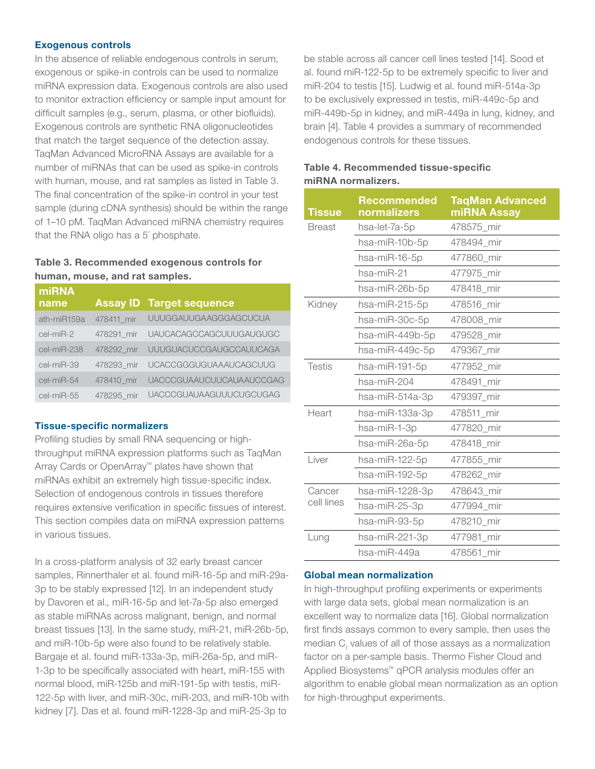#### Exogenous controls

In the absence of reliable endogenous controls in serum, exogenous or spike-in controls can be used to normalize miRNA expression data. Exogenous controls are also used to monitor extraction efficiency or sample input amount for difficult samples (e.g., serum, plasma, or other biofluids). Exogenous controls are synthetic RNA oligonucleotides that match the target sequence of the detection assay. TaqMan Advanced MicroRNA Assays are available for a number of miRNAs that can be used as spike-in controls with human, mouse, and rat samples as listed in Table 3. The final concentration of the spike-in control in your test sample (during cDNA synthesis) should be within the range of 1–10 pM. TaqMan Advanced miRNA chemistry requires that the RNA oligo has a 5´ phosphate.

#### Table 3. Recommended exogenous controls for human, mouse, and rat samples.

| miRNA<br>name     |            | <b>Assay ID Target sequence</b> |
|-------------------|------------|---------------------------------|
| ath-miR159a       | 478411 mir | <b>UUUGGAUUGAAGGGAGCUCUA</b>    |
| cel-miR-2         | 478291 mir | <b>UAUCACAGCCAGCUUUGAUGUGC</b>  |
| cel-miR-238       | 478292 mir | <b>UUUGUACUCCGAUGCCAUUCAGA</b>  |
| cel-miR-39        | 478293 mir | <b>UCACCGGGUGUAAAUCAGCUUG</b>   |
| cel-miR-54        | 478410 mir | <b>UACCCGUAAUCUUCAUAAUCCGAG</b> |
| $cel$ -mi $R$ -55 | 478295 mir | <b>UACCCGUAUAAGUUUCUGCUGAG</b>  |

#### Tissue-specific normalizers

Profiling studies by small RNA sequencing or highthroughput miRNA expression platforms such as TaqMan Array Cards or OpenArray™ plates have shown that miRNAs exhibit an extremely high tissue-specific index. Selection of endogenous controls in tissues therefore requires extensive verification in specific tissues of interest. This section compiles data on miRNA expression patterns in various tissues.

In a cross-platform analysis of 32 early breast cancer samples, Rinnerthaler et al. found miR-16-5p and miR-29a-3p to be stably expressed [12]. In an independent study by Davoren et al., miR-16-5p and let-7a-5p also emerged as stable miRNAs across malignant, benign, and normal breast tissues [13]. In the same study, miR-21, miR-26b-5p, and miR-10b-5p were also found to be relatively stable. Bargaje et al. found miR-133a-3p, miR-26a-5p, and miR-1-3p to be specifically associated with heart, miR-155 with normal blood, miR-125b and miR-191-5p with testis, miR-122-5p with liver, and miR-30c, miR-203, and miR-10b with kidney [7]. Das et al. found miR-1228-3p and miR-25-3p to

be stable across all cancer cell lines tested [14]. Sood et al. found miR-122-5p to be extremely specific to liver and miR-204 to testis [15]. Ludwig et al. found miR-514a-3p to be exclusively expressed in testis, miR-449c-5p and miR-449b-5p in kidney, and miR-449a in lung, kidney, and brain [4]. Table 4 provides a summary of recommended endogenous controls for these tissues.

#### Table 4. Recommended tissue-specific miRNA normalizers.

| <b>Tissue</b>        | Recommended<br>normalizers | <b>TaqMan Advanced</b><br>miRNA Assay |
|----------------------|----------------------------|---------------------------------------|
| <b>Breast</b>        | hsa-let-7a-5p              | 478575_mir                            |
|                      | hsa-miR-10b-5p             | 478494_mir                            |
|                      | hsa-miR-16-5p              | 477860_mir                            |
|                      | hsa-miR-21                 | 477975_mir                            |
|                      | hsa-miR-26b-5p             | 478418_mir                            |
| Kidney               | hsa-miR-215-5p             | 478516 mir                            |
|                      | hsa-miR-30c-5p             | 478008_mir                            |
|                      | hsa-miR-449b-5p            | 479528_mir                            |
|                      | hsa-miR-449c-5p            | 479367_mir                            |
| <b>Testis</b>        | hsa-miR-191-5p             | 477952_mir                            |
|                      | hsa-miR-204                | 478491_mir                            |
|                      | hsa-miR-514a-3p            | 479397 mir                            |
| Heart                | hsa-miR-133a-3p            | 478511 mir                            |
|                      | hsa-miR-1-3p               | 477820_mir                            |
|                      | hsa-miR-26a-5p             | 478418_mir                            |
| Liver                | hsa-miR-122-5p             | 477855_mir                            |
|                      | hsa-miR-192-5p             | 478262 mir                            |
| Cancer<br>cell lines | hsa-miR-1228-3p            | 478643_mir                            |
|                      | hsa-miR-25-3p              | 477994 mir                            |
|                      | hsa-miR-93-5p              | 478210_mir                            |
| Lung                 | hsa-miR-221-3p             | 477981 mir                            |
|                      | hsa-miR-449a               | 478561 mir                            |

#### Global mean normalization

In high-throughput profiling experiments or experiments with large data sets, global mean normalization is an excellent way to normalize data [16]. Global normalization first finds assays common to every sample, then uses the median  $C_{t}$  values of all of those assays as a normalization factor on a per-sample basis. Thermo Fisher Cloud and Applied Biosystems™ qPCR analysis modules offer an algorithm to enable global mean normalization as an option for high-throughput experiments.